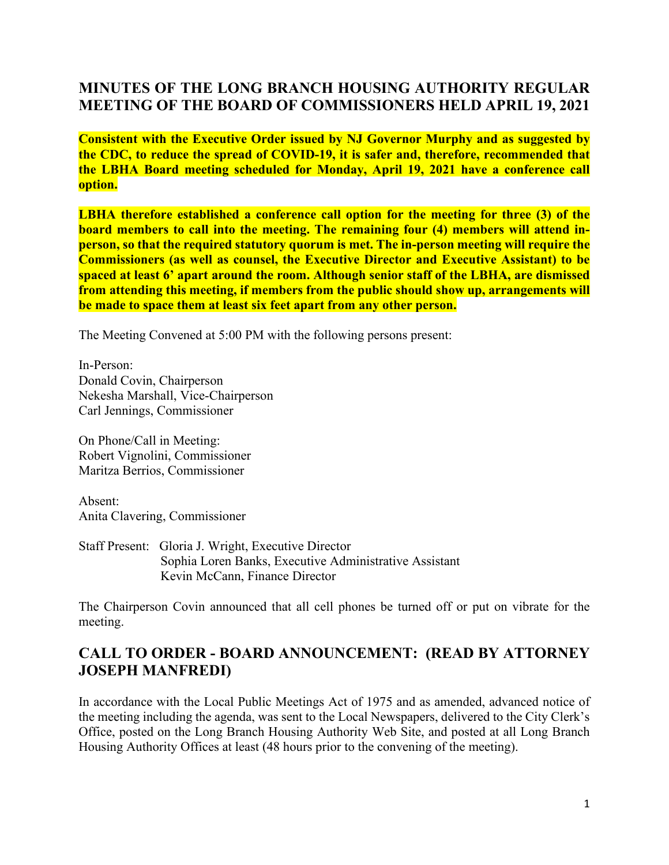### **MINUTES OF THE LONG BRANCH HOUSING AUTHORITY REGULAR MEETING OF THE BOARD OF COMMISSIONERS HELD APRIL 19, 2021**

**Consistent with the Executive Order issued by NJ Governor Murphy and as suggested by the CDC, to reduce the spread of COVID-19, it is safer and, therefore, recommended that the LBHA Board meeting scheduled for Monday, April 19, 2021 have a conference call option.**

**LBHA therefore established a conference call option for the meeting for three (3) of the board members to call into the meeting. The remaining four (4) members will attend inperson, so that the required statutory quorum is met. The in-person meeting will require the Commissioners (as well as counsel, the Executive Director and Executive Assistant) to be spaced at least 6' apart around the room. Although senior staff of the LBHA, are dismissed from attending this meeting, if members from the public should show up, arrangements will be made to space them at least six feet apart from any other person.**

The Meeting Convened at 5:00 PM with the following persons present:

In-Person: Donald Covin, Chairperson Nekesha Marshall, Vice-Chairperson Carl Jennings, Commissioner

On Phone/Call in Meeting: Robert Vignolini, Commissioner Maritza Berrios, Commissioner

Absent: Anita Clavering, Commissioner

Staff Present: Gloria J. Wright, Executive Director Sophia Loren Banks, Executive Administrative Assistant Kevin McCann, Finance Director

The Chairperson Covin announced that all cell phones be turned off or put on vibrate for the meeting.

### **CALL TO ORDER - BOARD ANNOUNCEMENT: (READ BY ATTORNEY JOSEPH MANFREDI)**

In accordance with the Local Public Meetings Act of 1975 and as amended, advanced notice of the meeting including the agenda, was sent to the Local Newspapers, delivered to the City Clerk's Office, posted on the Long Branch Housing Authority Web Site, and posted at all Long Branch Housing Authority Offices at least (48 hours prior to the convening of the meeting).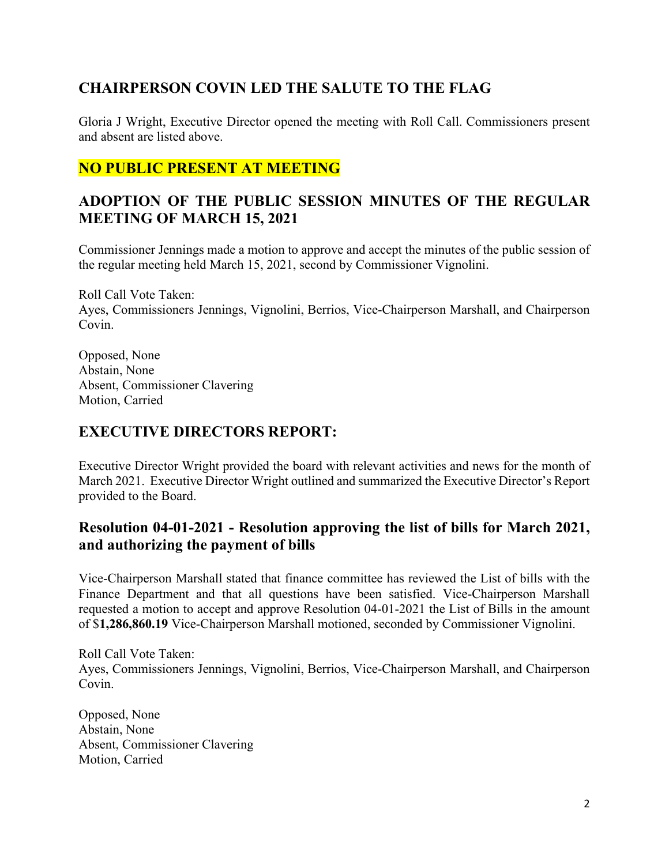# **CHAIRPERSON COVIN LED THE SALUTE TO THE FLAG**

Gloria J Wright, Executive Director opened the meeting with Roll Call. Commissioners present and absent are listed above.

# **NO PUBLIC PRESENT AT MEETING**

# **ADOPTION OF THE PUBLIC SESSION MINUTES OF THE REGULAR MEETING OF MARCH 15, 2021**

Commissioner Jennings made a motion to approve and accept the minutes of the public session of the regular meeting held March 15, 2021, second by Commissioner Vignolini.

Roll Call Vote Taken: Ayes, Commissioners Jennings, Vignolini, Berrios, Vice-Chairperson Marshall, and Chairperson Covin.

Opposed, None Abstain, None Absent, Commissioner Clavering Motion, Carried

# **EXECUTIVE DIRECTORS REPORT:**

Executive Director Wright provided the board with relevant activities and news for the month of March 2021. Executive Director Wright outlined and summarized the Executive Director's Report provided to the Board.

# **Resolution 04-01-2021 - Resolution approving the list of bills for March 2021, and authorizing the payment of bills**

Vice-Chairperson Marshall stated that finance committee has reviewed the List of bills with the Finance Department and that all questions have been satisfied. Vice-Chairperson Marshall requested a motion to accept and approve Resolution 04-01-2021 the List of Bills in the amount of \$**1,286,860.19** Vice-Chairperson Marshall motioned, seconded by Commissioner Vignolini.

Roll Call Vote Taken: Ayes, Commissioners Jennings, Vignolini, Berrios, Vice-Chairperson Marshall, and Chairperson Covin.

Opposed, None Abstain, None Absent, Commissioner Clavering Motion, Carried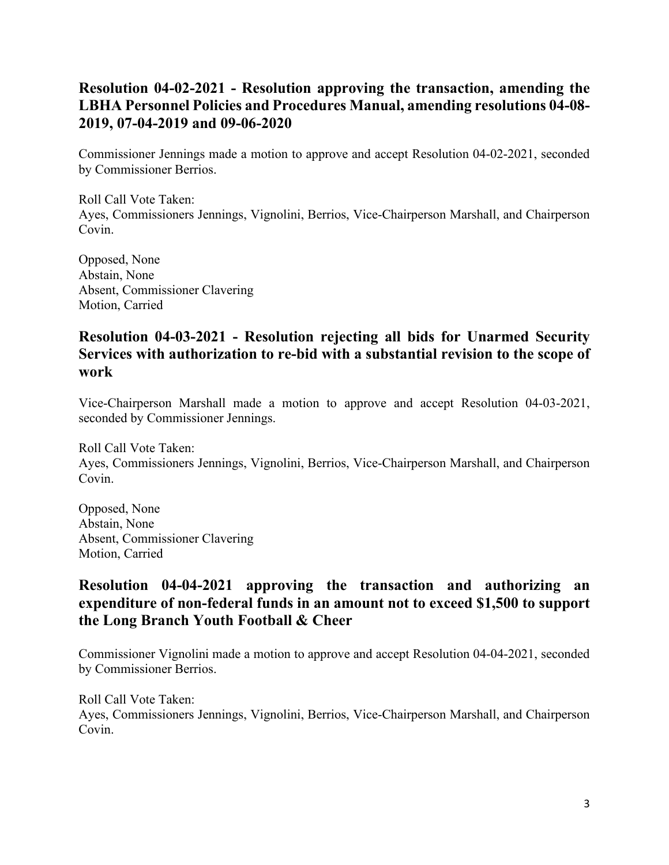### **Resolution 04-02-2021 - Resolution approving the transaction, amending the LBHA Personnel Policies and Procedures Manual, amending resolutions 04-08- 2019, 07-04-2019 and 09-06-2020**

Commissioner Jennings made a motion to approve and accept Resolution 04-02-2021, seconded by Commissioner Berrios.

Roll Call Vote Taken: Ayes, Commissioners Jennings, Vignolini, Berrios, Vice-Chairperson Marshall, and Chairperson Covin.

Opposed, None Abstain, None Absent, Commissioner Clavering Motion, Carried

#### **Resolution 04-03-2021 - Resolution rejecting all bids for Unarmed Security Services with authorization to re-bid with a substantial revision to the scope of work**

Vice-Chairperson Marshall made a motion to approve and accept Resolution 04-03-2021, seconded by Commissioner Jennings.

Roll Call Vote Taken: Ayes, Commissioners Jennings, Vignolini, Berrios, Vice-Chairperson Marshall, and Chairperson Covin.

Opposed, None Abstain, None Absent, Commissioner Clavering Motion, Carried

#### **Resolution 04-04-2021 approving the transaction and authorizing an expenditure of non-federal funds in an amount not to exceed \$1,500 to support the Long Branch Youth Football & Cheer**

Commissioner Vignolini made a motion to approve and accept Resolution 04-04-2021, seconded by Commissioner Berrios.

Roll Call Vote Taken: Ayes, Commissioners Jennings, Vignolini, Berrios, Vice-Chairperson Marshall, and Chairperson Covin.